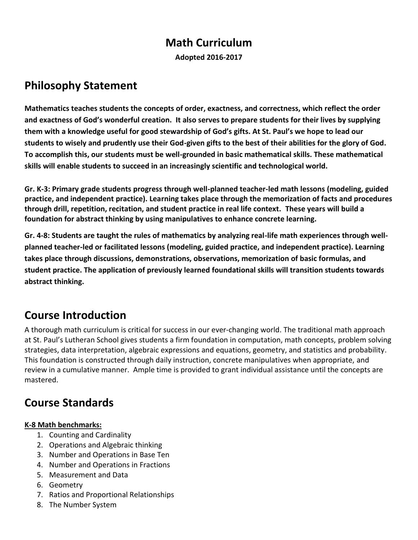# **Math Curriculum**

**Adopted 2016-2017**

# **Philosophy Statement**

**Mathematics teaches students the concepts of order, exactness, and correctness, which reflect the order and exactness of God's wonderful creation. It also serves to prepare students for their lives by supplying them with a knowledge useful for good stewardship of God's gifts. At St. Paul's we hope to lead our students to wisely and prudently use their God-given gifts to the best of their abilities for the glory of God. To accomplish this, our students must be well-grounded in basic mathematical skills. These mathematical skills will enable students to succeed in an increasingly scientific and technological world.**

**Gr. K-3: Primary grade students progress through well-planned teacher-led math lessons (modeling, guided practice, and independent practice). Learning takes place through the memorization of facts and procedures through drill, repetition, recitation, and student practice in real life context. These years will build a foundation for abstract thinking by using manipulatives to enhance concrete learning.** 

**Gr. 4-8: Students are taught the rules of mathematics by analyzing real-life math experiences through wellplanned teacher-led or facilitated lessons (modeling, guided practice, and independent practice). Learning takes place through discussions, demonstrations, observations, memorization of basic formulas, and student practice. The application of previously learned foundational skills will transition students towards abstract thinking.**

# **Course Introduction**

A thorough math curriculum is critical for success in our ever‐changing world. The traditional math approach at St. Paul's Lutheran School gives students a firm foundation in computation, math concepts, problem solving strategies, data interpretation, algebraic expressions and equations, geometry, and statistics and probability. This foundation is constructed through daily instruction, concrete manipulatives when appropriate, and review in a cumulative manner. Ample time is provided to grant individual assistance until the concepts are mastered.

# **Course Standards**

# **K-8 Math benchmarks:**

- 1. Counting and Cardinality
- 2. Operations and Algebraic thinking
- 3. Number and Operations in Base Ten
- 4. Number and Operations in Fractions
- 5. Measurement and Data
- 6. Geometry
- 7. Ratios and Proportional Relationships
- 8. The Number System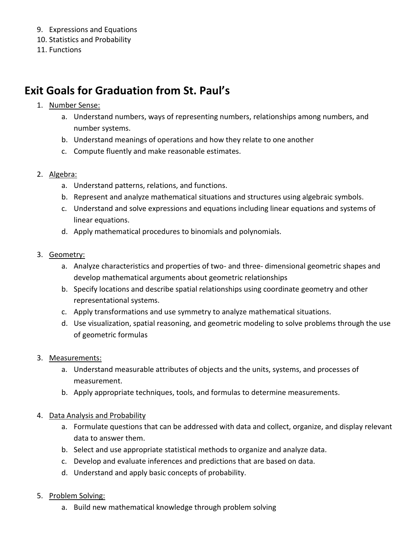- 9. Expressions and Equations
- 10. Statistics and Probability
- 11. Functions

# **Exit Goals for Graduation from St. Paul's**

- 1. Number Sense:
	- a. Understand numbers, ways of representing numbers, relationships among numbers, and number systems.
	- b. Understand meanings of operations and how they relate to one another
	- c. Compute fluently and make reasonable estimates.
- 2. Algebra:
	- a. Understand patterns, relations, and functions.
	- b. Represent and analyze mathematical situations and structures using algebraic symbols.
	- c. Understand and solve expressions and equations including linear equations and systems of linear equations.
	- d. Apply mathematical procedures to binomials and polynomials.
- 3. Geometry:
	- a. Analyze characteristics and properties of two- and three- dimensional geometric shapes and develop mathematical arguments about geometric relationships
	- b. Specify locations and describe spatial relationships using coordinate geometry and other representational systems.
	- c. Apply transformations and use symmetry to analyze mathematical situations.
	- d. Use visualization, spatial reasoning, and geometric modeling to solve problems through the use of geometric formulas
- 3. Measurements:
	- a. Understand measurable attributes of objects and the units, systems, and processes of measurement.
	- b. Apply appropriate techniques, tools, and formulas to determine measurements.
- 4. Data Analysis and Probability
	- a. Formulate questions that can be addressed with data and collect, organize, and display relevant data to answer them.
	- b. Select and use appropriate statistical methods to organize and analyze data.
	- c. Develop and evaluate inferences and predictions that are based on data.
	- d. Understand and apply basic concepts of probability.
- 5. Problem Solving:
	- a. Build new mathematical knowledge through problem solving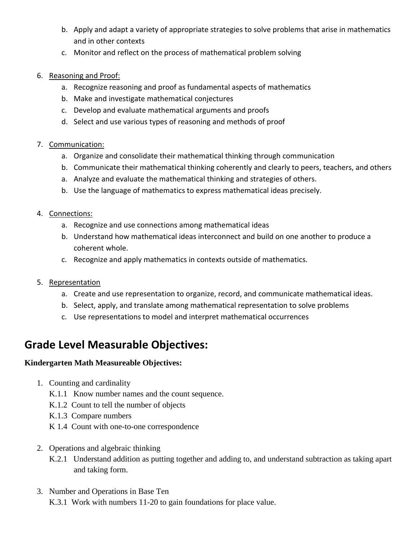- b. Apply and adapt a variety of appropriate strategies to solve problems that arise in mathematics and in other contexts
- c. Monitor and reflect on the process of mathematical problem solving
- 6. Reasoning and Proof:
	- a. Recognize reasoning and proof as fundamental aspects of mathematics
	- b. Make and investigate mathematical conjectures
	- c. Develop and evaluate mathematical arguments and proofs
	- d. Select and use various types of reasoning and methods of proof

## 7. Communication:

- a. Organize and consolidate their mathematical thinking through communication
- b. Communicate their mathematical thinking coherently and clearly to peers, teachers, and others
- a. Analyze and evaluate the mathematical thinking and strategies of others.
- b. Use the language of mathematics to express mathematical ideas precisely.

## 4. Connections:

- a. Recognize and use connections among mathematical ideas
- b. Understand how mathematical ideas interconnect and build on one another to produce a coherent whole.
- c. Recognize and apply mathematics in contexts outside of mathematics.
- 5. Representation
	- a. Create and use representation to organize, record, and communicate mathematical ideas.
	- b. Select, apply, and translate among mathematical representation to solve problems
	- c. Use representations to model and interpret mathematical occurrences

# **Grade Level Measurable Objectives:**

## **Kindergarten Math Measureable Objectives:**

- 1. Counting and cardinality
	- K.1.1 Know number names and the count sequence.
	- K.1.2 Count to tell the number of objects
	- K.1.3 Compare numbers
	- K 1.4 Count with one-to-one correspondence
- 2. Operations and algebraic thinking
	- K.2.1 Understand addition as putting together and adding to, and understand subtraction as taking apart and taking form.
- 3. Number and Operations in Base Ten K.3.1 Work with numbers 11-20 to gain foundations for place value.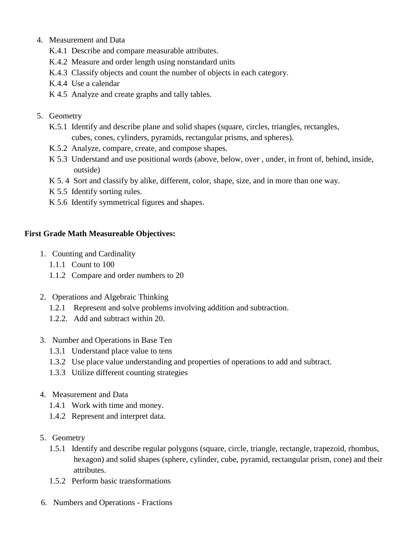- 4. Measurement and Data
	- K.4.1 Describe and compare measurable attributes.
	- K.4.2 Measure and order length using nonstandard units
	- K.4.3 Classify objects and count the number of objects in each category.
	- K.4.4 Use a calendar
	- K 4.5 Analyze and create graphs and tally tables.

### 5. Geometry

- K.5.1 Identify and describe plane and solid shapes (square, circles, triangles, rectangles, cubes, cones, cylinders, pyramids, rectangular prisms, and spheres).
- K.5.2 Analyze, compare, create, and compose shapes.
- K 5.3 Understand and use positional words (above, below, over , under, in front of, behind, inside, outside)
- K 5. 4 Sort and classify by alike, different, color, shape, size, and in more than one way.
- K 5.5 Identify sorting rules.
- K 5.6 Identify symmetrical figures and shapes.

### **First Grade Math Measureable Objectives:**

- 1. Counting and Cardinality
	- 1.1.1 Count to 100
	- 1.1.2 Compare and order numbers to 20
- 2. Operations and Algebraic Thinking
	- 1.2.1 Represent and solve problems involving addition and subtraction.
	- 1.2.2. Add and subtract within 20.
- 3. Number and Operations in Base Ten
	- 1.3.1 Understand place value to tens
	- 1.3.2 Use place value understanding and properties of operations to add and subtract.
	- 1.3.3 Utilize different counting strategies
- 4. Measurement and Data
	- 1.4.1 Work with time and money.
	- 1.4.2 Represent and interpret data.
- 5. Geometry
	- 1.5.1 Identify and describe regular polygons (square, circle, triangle, rectangle, trapezoid, rhombus, hexagon) and solid shapes (sphere, cylinder, cube, pyramid, rectangular prism, cone) and their attributes.
	- 1.5.2 Perform basic transformations
- 6. Numbers and Operations Fractions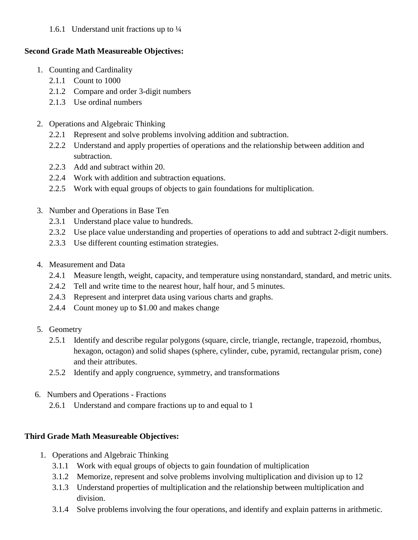## 1.6.1 Understand unit fractions up to  $\frac{1}{4}$

# **Second Grade Math Measureable Objectives:**

- 1. Counting and Cardinality
	- 2.1.1 Count to 1000
	- 2.1.2 Compare and order 3-digit numbers
	- 2.1.3 Use ordinal numbers
- 2. Operations and Algebraic Thinking
	- 2.2.1 Represent and solve problems involving addition and subtraction.
	- 2.2.2 Understand and apply properties of operations and the relationship between addition and subtraction.
	- 2.2.3 Add and subtract within 20.
	- 2.2.4 Work with addition and subtraction equations.
	- 2.2.5 Work with equal groups of objects to gain foundations for multiplication.
- 3. Number and Operations in Base Ten
	- 2.3.1 Understand place value to hundreds.
	- 2.3.2 Use place value understanding and properties of operations to add and subtract 2-digit numbers.
	- 2.3.3 Use different counting estimation strategies.
- 4. Measurement and Data
	- 2.4.1 Measure length, weight, capacity, and temperature using nonstandard, standard, and metric units.
	- 2.4.2 Tell and write time to the nearest hour, half hour, and 5 minutes.
	- 2.4.3 Represent and interpret data using various charts and graphs.
	- 2.4.4 Count money up to \$1.00 and makes change
- 5. Geometry
	- 2.5.1 Identify and describe regular polygons (square, circle, triangle, rectangle, trapezoid, rhombus, hexagon, octagon) and solid shapes (sphere, cylinder, cube, pyramid, rectangular prism, cone) and their attributes.
	- 2.5.2 Identify and apply congruence, symmetry, and transformations
- 6. Numbers and Operations Fractions
	- 2.6.1 Understand and compare fractions up to and equal to 1

# **Third Grade Math Measureable Objectives:**

- 1. Operations and Algebraic Thinking
	- 3.1.1 Work with equal groups of objects to gain foundation of multiplication
	- 3.1.2 Memorize, represent and solve problems involving multiplication and division up to 12
	- 3.1.3 Understand properties of multiplication and the relationship between multiplication and division.
	- 3.1.4 Solve problems involving the four operations, and identify and explain patterns in arithmetic.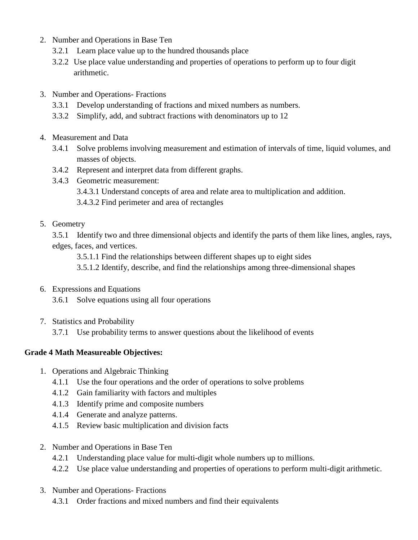- 2. Number and Operations in Base Ten
	- 3.2.1 Learn place value up to the hundred thousands place
	- 3.2.2 Use place value understanding and properties of operations to perform up to four digit arithmetic.
- 3. Number and Operations- Fractions
	- 3.3.1 Develop understanding of fractions and mixed numbers as numbers.
	- 3.3.2 Simplify, add, and subtract fractions with denominators up to 12
- 4. Measurement and Data
	- 3.4.1 Solve problems involving measurement and estimation of intervals of time, liquid volumes, and masses of objects.
	- 3.4.2 Represent and interpret data from different graphs.
	- 3.4.3 Geometric measurement:
		- 3.4.3.1 Understand concepts of area and relate area to multiplication and addition.
		- 3.4.3.2 Find perimeter and area of rectangles
- 5. Geometry

3.5.1 Identify two and three dimensional objects and identify the parts of them like lines, angles, rays, edges, faces, and vertices.

3.5.1.1 Find the relationships between different shapes up to eight sides

3.5.1.2 Identify, describe, and find the relationships among three-dimensional shapes

6. Expressions and Equations

3.6.1 Solve equations using all four operations

7. Statistics and Probability

3.7.1 Use probability terms to answer questions about the likelihood of events

# **Grade 4 Math Measureable Objectives:**

- 1. Operations and Algebraic Thinking
	- 4.1.1 Use the four operations and the order of operations to solve problems
	- 4.1.2 Gain familiarity with factors and multiples
	- 4.1.3 Identify prime and composite numbers
	- 4.1.4 Generate and analyze patterns.
	- 4.1.5 Review basic multiplication and division facts
- 2. Number and Operations in Base Ten
	- 4.2.1 Understanding place value for multi-digit whole numbers up to millions.
	- 4.2.2 Use place value understanding and properties of operations to perform multi-digit arithmetic.
- 3. Number and Operations- Fractions
	- 4.3.1 Order fractions and mixed numbers and find their equivalents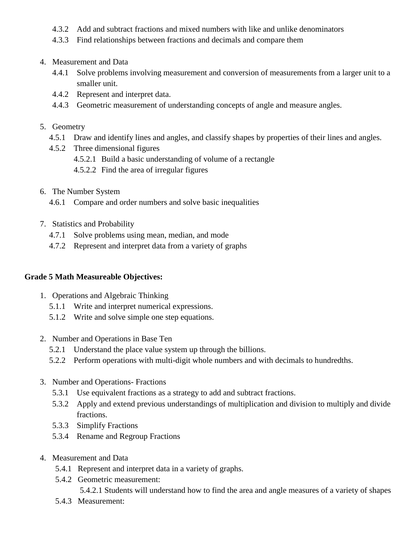- 4.3.2 Add and subtract fractions and mixed numbers with like and unlike denominators
- 4.3.3 Find relationships between fractions and decimals and compare them

### 4. Measurement and Data

- 4.4.1 Solve problems involving measurement and conversion of measurements from a larger unit to a smaller unit.
- 4.4.2 Represent and interpret data.
- 4.4.3 Geometric measurement of understanding concepts of angle and measure angles.

### 5. Geometry

- 4.5.1 Draw and identify lines and angles, and classify shapes by properties of their lines and angles.
- 4.5.2 Three dimensional figures
	- 4.5.2.1 Build a basic understanding of volume of a rectangle
	- 4.5.2.2 Find the area of irregular figures
- 6. The Number System
	- 4.6.1 Compare and order numbers and solve basic inequalities
- 7. Statistics and Probability
	- 4.7.1 Solve problems using mean, median, and mode
	- 4.7.2 Represent and interpret data from a variety of graphs

#### **Grade 5 Math Measureable Objectives:**

- 1. Operations and Algebraic Thinking
	- 5.1.1 Write and interpret numerical expressions.
	- 5.1.2 Write and solve simple one step equations.
- 2. Number and Operations in Base Ten
	- 5.2.1 Understand the place value system up through the billions.
	- 5.2.2 Perform operations with multi-digit whole numbers and with decimals to hundredths.
- 3. Number and Operations- Fractions
	- 5.3.1 Use equivalent fractions as a strategy to add and subtract fractions.
	- 5.3.2 Apply and extend previous understandings of multiplication and division to multiply and divide fractions.
	- 5.3.3 Simplify Fractions
	- 5.3.4 Rename and Regroup Fractions
- 4. Measurement and Data
	- 5.4.1 Represent and interpret data in a variety of graphs.
	- 5.4.2 Geometric measurement:

5.4.2.1 Students will understand how to find the area and angle measures of a variety of shapes

5.4.3 Measurement: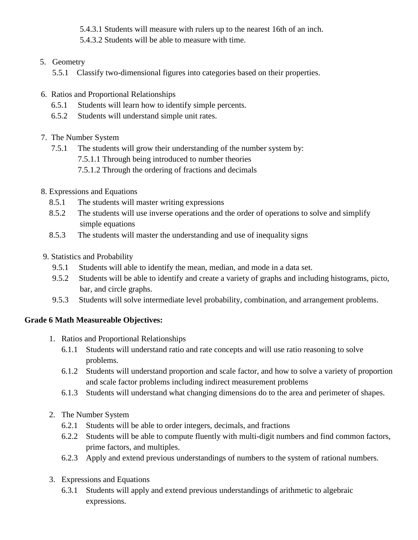5.4.3.1 Students will measure with rulers up to the nearest 16th of an inch.

5.4.3.2 Students will be able to measure with time.

5. Geometry

5.5.1 Classify two-dimensional figures into categories based on their properties.

- 6. Ratios and Proportional Relationships
	- 6.5.1 Students will learn how to identify simple percents.
	- 6.5.2 Students will understand simple unit rates.
- 7. The Number System
	- 7.5.1 The students will grow their understanding of the number system by:
		- 7.5.1.1 Through being introduced to number theories
		- 7.5.1.2 Through the ordering of fractions and decimals
- 8. Expressions and Equations
	- 8.5.1 The students will master writing expressions
	- 8.5.2 The students will use inverse operations and the order of operations to solve and simplify simple equations
	- 8.5.3 The students will master the understanding and use of inequality signs
- 9. Statistics and Probability
	- 9.5.1 Students will able to identify the mean, median, and mode in a data set.
	- 9.5.2 Students will be able to identify and create a variety of graphs and including histograms, picto, bar, and circle graphs.
	- 9.5.3 Students will solve intermediate level probability, combination, and arrangement problems.

# **Grade 6 Math Measureable Objectives:**

- 1. Ratios and Proportional Relationships
	- 6.1.1 Students will understand ratio and rate concepts and will use ratio reasoning to solve problems.
	- 6.1.2 Students will understand proportion and scale factor, and how to solve a variety of proportion and scale factor problems including indirect measurement problems
	- 6.1.3 Students will understand what changing dimensions do to the area and perimeter of shapes.
- 2. The Number System
	- 6.2.1 Students will be able to order integers, decimals, and fractions
	- 6.2.2 Students will be able to compute fluently with multi-digit numbers and find common factors, prime factors, and multiples.
	- 6.2.3 Apply and extend previous understandings of numbers to the system of rational numbers.
- 3. Expressions and Equations
	- 6.3.1 Students will apply and extend previous understandings of arithmetic to algebraic expressions.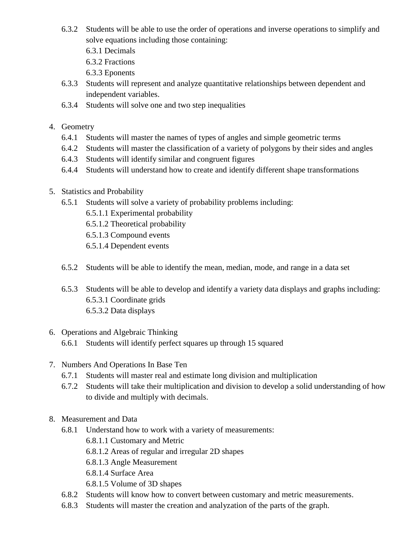- 6.3.2 Students will be able to use the order of operations and inverse operations to simplify and solve equations including those containing:
	- 6.3.1 Decimals
	- 6.3.2 Fractions
	- 6.3.3 Eponents
- 6.3.3 Students will represent and analyze quantitative relationships between dependent and independent variables.
- 6.3.4 Students will solve one and two step inequalities

## 4. Geometry

- 6.4.1 Students will master the names of types of angles and simple geometric terms
- 6.4.2 Students will master the classification of a variety of polygons by their sides and angles
- 6.4.3 Students will identify similar and congruent figures
- 6.4.4 Students will understand how to create and identify different shape transformations
- 5. Statistics and Probability
	- 6.5.1 Students will solve a variety of probability problems including:
		- 6.5.1.1 Experimental probability
		- 6.5.1.2 Theoretical probability
		- 6.5.1.3 Compound events
		- 6.5.1.4 Dependent events
	- 6.5.2 Students will be able to identify the mean, median, mode, and range in a data set
	- 6.5.3 Students will be able to develop and identify a variety data displays and graphs including: 6.5.3.1 Coordinate grids 6.5.3.2 Data displays

## 6. Operations and Algebraic Thinking 6.6.1 Students will identify perfect squares up through 15 squared

- 7. Numbers And Operations In Base Ten
	- 6.7.1 Students will master real and estimate long division and multiplication
	- 6.7.2 Students will take their multiplication and division to develop a solid understanding of how to divide and multiply with decimals.
- 8. Measurement and Data
	- 6.8.1 Understand how to work with a variety of measurements:
		- 6.8.1.1 Customary and Metric
		- 6.8.1.2 Areas of regular and irregular 2D shapes
		- 6.8.1.3 Angle Measurement
		- 6.8.1.4 Surface Area
		- 6.8.1.5 Volume of 3D shapes
	- 6.8.2 Students will know how to convert between customary and metric measurements.
	- 6.8.3 Students will master the creation and analyzation of the parts of the graph.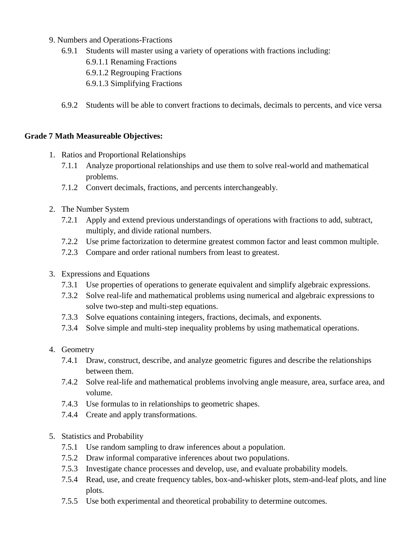- 9. Numbers and Operations-Fractions
	- 6.9.1 Students will master using a variety of operations with fractions including:
		- 6.9.1.1 Renaming Fractions
		- 6.9.1.2 Regrouping Fractions
		- 6.9.1.3 Simplifying Fractions
	- 6.9.2 Students will be able to convert fractions to decimals, decimals to percents, and vice versa

## **Grade 7 Math Measureable Objectives:**

- 1. Ratios and Proportional Relationships
	- 7.1.1 Analyze proportional relationships and use them to solve real-world and mathematical problems.
	- 7.1.2 Convert decimals, fractions, and percents interchangeably.
- 2. The Number System
	- 7.2.1 Apply and extend previous understandings of operations with fractions to add, subtract, multiply, and divide rational numbers.
	- 7.2.2 Use prime factorization to determine greatest common factor and least common multiple.
	- 7.2.3 Compare and order rational numbers from least to greatest.
- 3. Expressions and Equations
	- 7.3.1 Use properties of operations to generate equivalent and simplify algebraic expressions.
	- 7.3.2 Solve real-life and mathematical problems using numerical and algebraic expressions to solve two-step and multi-step equations.
	- 7.3.3 Solve equations containing integers, fractions, decimals, and exponents.
	- 7.3.4 Solve simple and multi-step inequality problems by using mathematical operations.

## 4. Geometry

- 7.4.1 Draw, construct, describe, and analyze geometric figures and describe the relationships between them.
- 7.4.2 Solve real-life and mathematical problems involving angle measure, area, surface area, and volume.
- 7.4.3 Use formulas to in relationships to geometric shapes.
- 7.4.4 Create and apply transformations.
- 5. Statistics and Probability
	- 7.5.1 Use random sampling to draw inferences about a population.
	- 7.5.2 Draw informal comparative inferences about two populations.
	- 7.5.3 Investigate chance processes and develop, use, and evaluate probability models.
	- 7.5.4 Read, use, and create frequency tables, box-and-whisker plots, stem-and-leaf plots, and line plots.
	- 7.5.5 Use both experimental and theoretical probability to determine outcomes.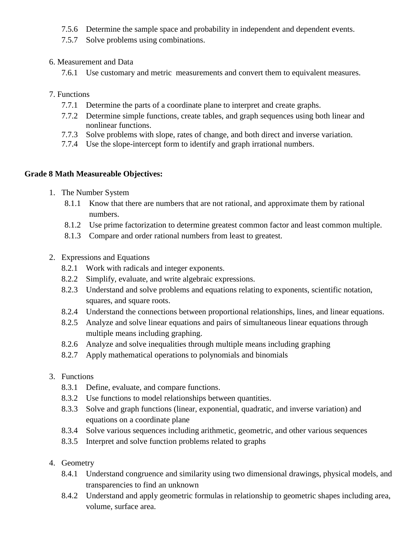- 7.5.6 Determine the sample space and probability in independent and dependent events.
- 7.5.7 Solve problems using combinations.
- 6. Measurement and Data
	- 7.6.1 Use customary and metric measurements and convert them to equivalent measures.
- 7. Functions
	- 7.7.1 Determine the parts of a coordinate plane to interpret and create graphs.
	- 7.7.2 Determine simple functions, create tables, and graph sequences using both linear and nonlinear functions.
	- 7.7.3 Solve problems with slope, rates of change, and both direct and inverse variation.
	- 7.7.4 Use the slope-intercept form to identify and graph irrational numbers.

### **Grade 8 Math Measureable Objectives:**

- 1. The Number System
	- 8.1.1 Know that there are numbers that are not rational, and approximate them by rational numbers.
	- 8.1.2 Use prime factorization to determine greatest common factor and least common multiple.
	- 8.1.3 Compare and order rational numbers from least to greatest.
- 2. Expressions and Equations
	- 8.2.1 Work with radicals and integer exponents.
	- 8.2.2 Simplify, evaluate, and write algebraic expressions.
	- 8.2.3 Understand and solve problems and equations relating to exponents, scientific notation, squares, and square roots.
	- 8.2.4 Understand the connections between proportional relationships, lines, and linear equations.
	- 8.2.5 Analyze and solve linear equations and pairs of simultaneous linear equations through multiple means including graphing.
	- 8.2.6 Analyze and solve inequalities through multiple means including graphing
	- 8.2.7 Apply mathematical operations to polynomials and binomials
- 3. Functions
	- 8.3.1 Define, evaluate, and compare functions.
	- 8.3.2 Use functions to model relationships between quantities.
	- 8.3.3 Solve and graph functions (linear, exponential, quadratic, and inverse variation) and equations on a coordinate plane
	- 8.3.4 Solve various sequences including arithmetic, geometric, and other various sequences
	- 8.3.5 Interpret and solve function problems related to graphs
- 4. Geometry
	- 8.4.1 Understand congruence and similarity using two dimensional drawings, physical models, and transparencies to find an unknown
	- 8.4.2 Understand and apply geometric formulas in relationship to geometric shapes including area, volume, surface area.